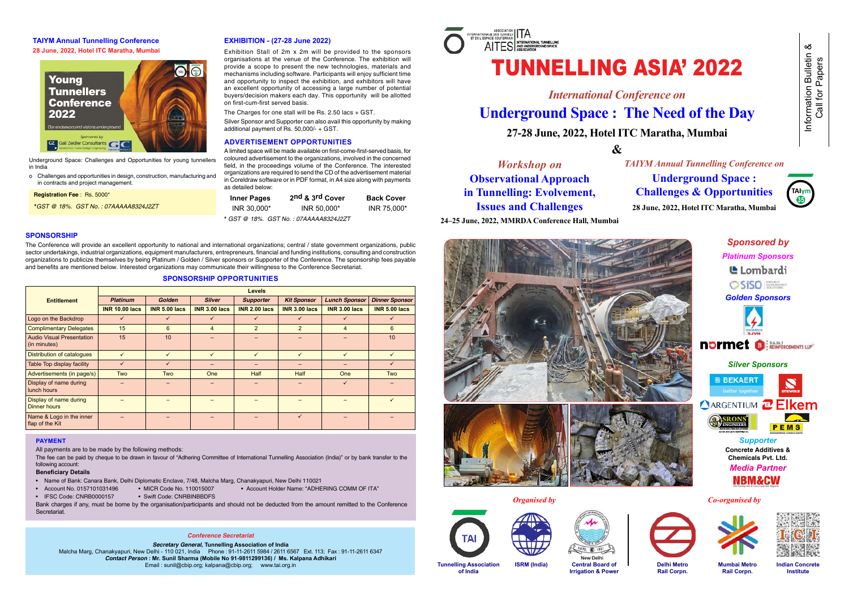# TUNNELLING ASIA' 2022

*International Conference on* **Underground Space : The Need of the Day 27-28 June, 2022, Hotel ITC Maratha, Mumbai** 

**&**

# **ISSUES AND UNAMENGENEERS**<br>Martin Conference I *Workshop on* **Observational Approach in Tunnelling: Evolvement, Issues and Challenges**







Information Bulletin & Call for Papers

Information Bulletin<br>Call for Papers

య

**Indian Concrete Institute**

Work **24–25 June, 2022, MMRDA Conference Hall, Mumbai**

*TAIYM Annual Tunnelling Conference on* **Underground Space : Challenges & Opportunities 28 June, 2022, Hotel ITC Maratha, Mumbai**



**Tunnelling Association of India**

**Central Board of Irrigation & Power**

**Delhi Metro Rail Corpn.** 

**Mumbai Metro Rail Corpn.** 

**ISRM (India)**



# **SPONSORSHIP**

The Conference will provide an excellent opportunity to national and international organizations; central / state government organizations, public sector undertakings, industrial organizations, equipment manufacturers, entrepreneurs, financial and funding institutions, consulting and construction organizations to publicize themselves by being Platinum / Golden / Silver sponsors or Supporter of the Conference. The sponsorship fees payable and benefits are mentioned below. Interested organizations may communicate their willingness to the Conference Secretariat.

The fee can be paid by cheque to be drawn in favour of "Adhering Committee of International Tunnelling Association (India)" or by bank transfer to the following account:

Bank charges if any, must be borne by the organisation/participants and should not be deducted from the amount remitted to the Conference **Secretariat** 

# **SPONSORSHIP OPPORTUNITIES**

|                                                  | <b>Levels</b>         |                      |                      |                      |                      |                      |                       |  |
|--------------------------------------------------|-----------------------|----------------------|----------------------|----------------------|----------------------|----------------------|-----------------------|--|
| <b>Entitlement</b>                               | <b>Platinum</b>       | <b>Golden</b>        | <b>Silver</b>        | <b>Supporter</b>     | <b>Kit Sponsor</b>   | <b>Lunch Sponsor</b> | <b>Dinner Sponsor</b> |  |
|                                                  | <b>INR 10.00 lacs</b> | <b>INR 5.00 lacs</b> | <b>INR 3.00 lacs</b> | <b>INR 2.00 lacs</b> | <b>INR 3.00 lacs</b> | <b>INR 3.00 lacs</b> | <b>INR 5.00 lacs</b>  |  |
| Logo on the Backdrop                             | $\checkmark$          | ✓                    | $\checkmark$         | $\checkmark$         | $\checkmark$         | $\checkmark$         | $\checkmark$          |  |
| <b>Complimentary Delegates</b>                   | 15                    | 6                    | $\overline{4}$       | $\overline{2}$       | $\overline{2}$       | 4                    | 6                     |  |
| <b>Audio Visual Presentation</b><br>(in minutes) | 15                    | 10                   |                      |                      |                      |                      | 10                    |  |
| <b>Distribution of catalogues</b>                | ✓                     | $\checkmark$         | $\checkmark$         | $\checkmark$         | $\checkmark$         | ✓                    | $\checkmark$          |  |
| Table Top display facility                       | $\checkmark$          | $\checkmark$         |                      | -                    |                      |                      | $\checkmark$          |  |
| Advertisements (in page/s)                       | <b>Two</b>            | Two                  | <b>One</b>           | <b>Half</b>          | <b>Half</b>          | <b>One</b>           | <b>Two</b>            |  |
| Display of name during<br>lunch hours            |                       |                      |                      |                      |                      | $\checkmark$         |                       |  |
| Display of name during<br>Dinner hours           |                       |                      |                      |                      |                      |                      | $\checkmark$          |  |
| Name & Logo in the inner<br>flap of the Kit      |                       |                      |                      |                      | $\checkmark$         |                      |                       |  |

## **PAYMENT**

All payments are to be made by the following methods:

#### **Beneficiary Details**

- Name of Bank: Canara Bank, Delhi Diplomatic Enclave, 7/48, Malcha Marg, Chanakyapuri, New Delhi 110021
- Account No. 0157101031496 MICR Code No. 110015007 Account Holder Name: "ADHERING COMM OF ITA"
- -
- 

• IFSC Code: CNRB0000157 • Swift Code: CNRBINBBDFS

# **EXHIBITION - (27-28 June 2022)**

Exhibition Stall of 2m x 2m will be provided to the sponsors organisations at the venue of the Conference. The exhibition will provide a scope to present the new technologies, materials and mechanisms including software. Participants will enjoy sufficient time and opportunity to inspect the exhibition, and exhibitors will have an excellent opportunity of accessing a large number of potential buyers/decision makers each day. This opportunity will be allotted on first-cum-first served basis.

The Charges for one stall will be Rs. 2.50 lacs + GST.

Silver Sponsor and Supporter can also avail this opportunity by making additional payment of Rs. 50,000/- + GST.

# **ADVERTISEMENT OPPORTUNITIES**

A limited space will be made available on first-come-first-served basis, for coloured advertisement to the organizations, involved in the concerned field, in the proceedings volume of the Conference. The interested organizations are required to send the CD of the advertisement material in Coreldraw software or in PDF format, in A4 size along with payments as detailed below:

| <b>Inner Pages</b> | 2nd & 3rd Cover                        | <b>Back Cover</b> |
|--------------------|----------------------------------------|-------------------|
| INR 30,000*        | INR 50,000*                            | INR 75,000*       |
|                    | $*$ CCT @ 10% CCT No : 07111100001107T |                   |

**18%. GST No.: 07AAAAA83** 



Underground Space: Challenges and Opportunities for young tunnellers in India

o Challenges and opportunities in design, construction, manufacturing and in contracts and project management.

 **Registration Fee** : Rs. 5000\*

 **\****GST @ 18%. GST No. : 07AAAAA8324J2ZT*

# **TAIYM Annual Tunnelling Conference 28 June, 2022, Hotel ITC Maratha, Mumbai**



#### *Conference Secretariat*

*Secretary General,* **Tunnelling Association of India**  Malcha Marg, Chanakyapuri, New Delhi - 110 021, India Phone : 91-11-2611 5984 / 2611 6567 Ext. 113; Fax : 91-11-2611 6347 *Contact Person* **: Mr. Sunil Sharma (Mobile No 91-9811299136) / Ms. Kalpana Adhikari**  Email : sunil@cbip.org; kalpana@cbip.org; www.tai.org.in